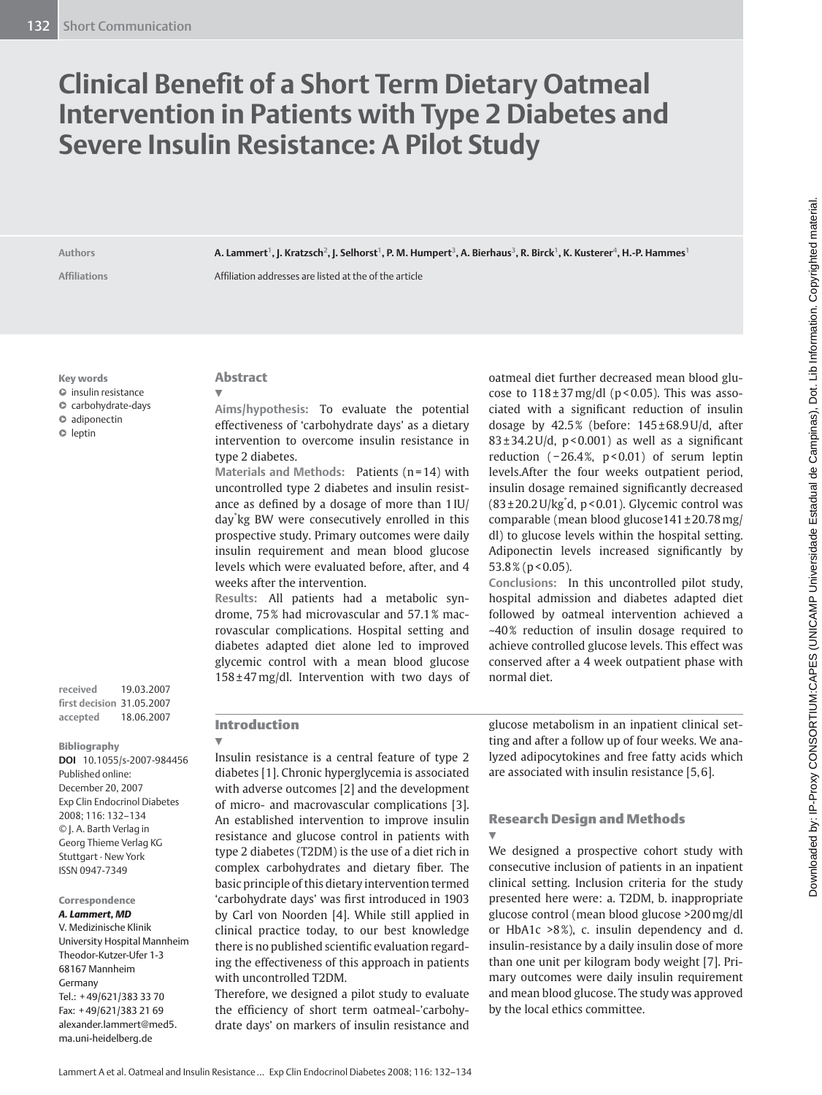# **Clinical Benefit of a Short Term Dietary Oatmeal Intervention in Patients with Type 2 Diabetes and Severe Insulin Resistance: A Pilot Study**

Authors **A. Lammert<sup>1</sup>, J. Kratzsch<sup>2</sup>, J. Selhorst<sup>1</sup>, P. M. Humpert<sup>3</sup>, A. Bierhaus<sup>3</sup>, R. Birck<sup>1</sup>, K. Kusterer<sup>4</sup>, H.-P. Hammes<sup>1</sup>** 

Affiliations **Affiliation addresses** are listed at the of the article

**Key words**

- insulin resistance

- carbohydrate-days

 $\bullet$  adiponectin

 $\bullet$  leptin

**received** 19.03.2007 **fi rst decision** 31.05.2007 **accepted** 18.06.2007

 **Bibliography** 

**DOI** 10.1055/s-2007-984456 Published online: December 20, 2007 Exp Clin Endocrinol Diabetes 2008; 116: 132 – 134 © J. A. Barth Verlag in Georg Thieme Verlag KG Stuttgart · New York ISSN 0947-7349

#### **Correspondence** *A. Lammert, MD*

 V. Medizinische Klinik University Hospital Mannheim Theodor-Kutzer-Ufer 1-3 68167 Mannheim Germany Tel.: +49/621/383 33 70 Fax: +49/621/383 21 69 alexander.lammert@med5. ma.uni-heidelberg.de

#### **Abstract**   $\overline{\blacktriangledown}$

**Aims / hypothesis:** To evaluate the potential effectiveness of 'carbohydrate days' as a dietary intervention to overcome insulin resistance in type 2 diabetes.

Materials and Methods: Patients (n=14) with uncontrolled type 2 diabetes and insulin resistance as defined by a dosage of more than  $1$  IU/ day<sup>\*</sup>kg BW were consecutively enrolled in this prospective study. Primary outcomes were daily insulin requirement and mean blood glucose levels which were evaluated before, after, and 4 weeks after the intervention.

**Results:** All patients had a metabolic syndrome, 75% had microvascular and 57.1 % macrovascular complications. Hospital setting and diabetes adapted diet alone led to improved glycemic control with a mean blood glucose  $158 \pm 47$  mg/dl. Intervention with two days of oatmeal diet further decreased mean blood glucose to  $118 \pm 37 \text{ mg/dl}$  (p < 0.05). This was associated with a significant reduction of insulin dosage by  $42.5\%$  (before:  $145\pm68.9$  U/d, after  $83 \pm 34.2$  U/d, p < 0.001) as well as a significant reduction  $(-26.4\%, p<0.01)$  of serum leptin levels.After the four weeks outpatient period, insulin dosage remained significantly decreased  $(83 \pm 20.2 \text{ U/kg}^*$ d, p < 0.01). Glycemic control was comparable (mean blood glucose141±20.78 mg/ dl) to glucose levels within the hospital setting. Adiponectin levels increased significantly by 53.8% (p < 0.05).

**Conclusions:** In this uncontrolled pilot study, hospital admission and diabetes adapted diet followed by oatmeal intervention achieved a ~ 40 % reduction of insulin dosage required to achieve controlled glucose levels. This effect was conserved after a 4 week outpatient phase with normal diet.

#### **Introduction**   $\overline{\mathbf{v}}$

 Insulin resistance is a central feature of type 2 diabetes [1] . Chronic hyperglycemia is associated with adverse outcomes [2] and the development of micro- and macrovascular complications [3]. An established intervention to improve insulin resistance and glucose control in patients with type 2 diabetes (T2DM) is the use of a diet rich in complex carbohydrates and dietary fiber. The basic principle of this dietary intervention termed 'carbohydrate days' was first introduced in 1903 by Carl von Noorden [4]. While still applied in clinical practice today, to our best knowledge there is no published scientific evaluation regarding the effectiveness of this approach in patients with uncontrolled T2DM.

 Therefore, we designed a pilot study to evaluate the efficiency of short term oatmeal-'carbohydrate days' on markers of insulin resistance and

glucose metabolism in an inpatient clinical setting and after a follow up of four weeks. We analyzed adipocytokines and free fatty acids which are associated with insulin resistance [5, 6] .

#### **Research Design and Methods**   $\overline{\mathbf{v}}$

 We designed a prospective cohort study with consecutive inclusion of patients in an inpatient clinical setting. Inclusion criteria for the study presented here were: a. T2DM, b. inappropriate glucose control (mean blood glucose >200 mg/dl or HbA1c  $>8\%$ ), c. insulin dependency and d. insulin-resistance by a daily insulin dose of more than one unit per kilogram body weight [7]. Primary outcomes were daily insulin requirement and mean blood glucose. The study was approved by the local ethics committee.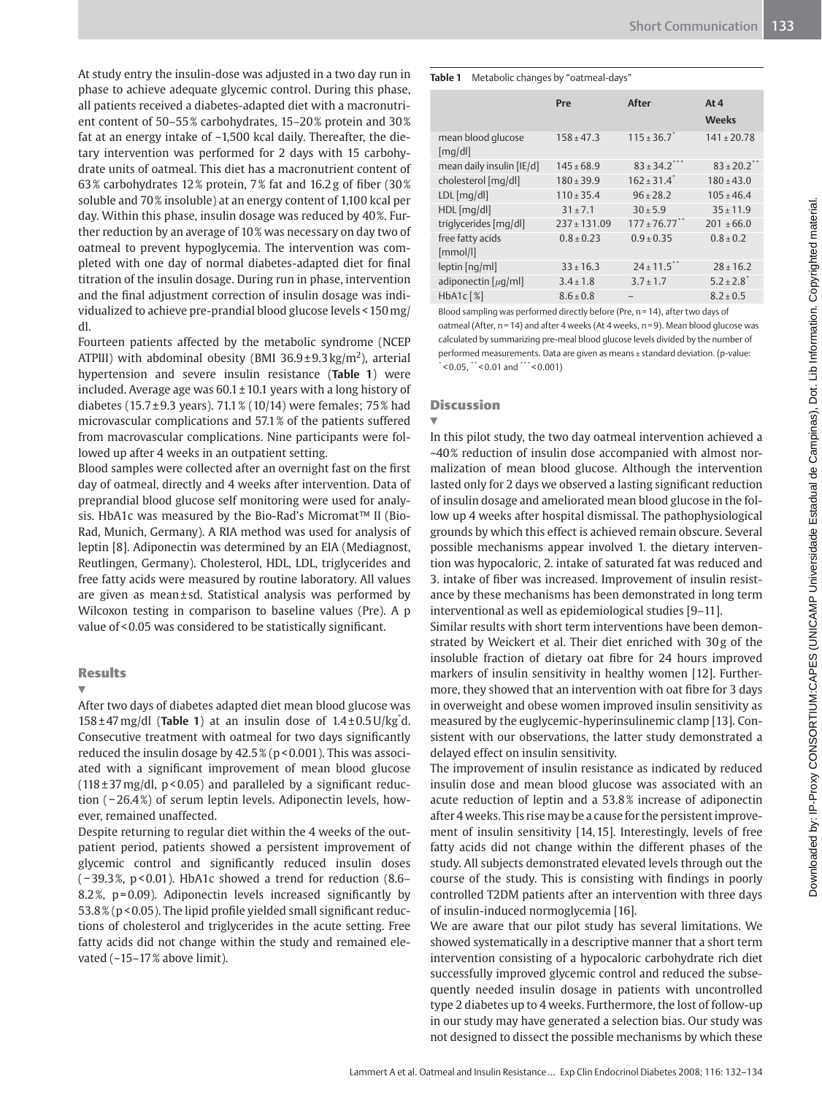At study entry the insulin-dose was adjusted in a two day run in phase to achieve adequate glycemic control. During this phase, all patients received a diabetes-adapted diet with a macronutrient content of 50-55% carbohydrates, 15-20% protein and 30% fat at an energy intake of ~ 1,500 kcal daily. Thereafter, the dietary intervention was performed for 2 days with 15 carbohydrate units of oatmeal. This diet has a macronutrient content of 63% carbohydrates 12% protein, 7% fat and 16.2g of fiber (30%) soluble and 70 % insoluble) at an energy content of 1,100 kcal per day. Within this phase, insulin dosage was reduced by 40%. Further reduction by an average of 10 % was necessary on day two of oatmeal to prevent hypoglycemia. The intervention was completed with one day of normal diabetes-adapted diet for final titration of the insulin dosage. During run in phase, intervention and the final adjustment correction of insulin dosage was individualized to achieve pre-prandial blood glucose levels < 150 mg/ dl.

 Fourteen patients affected by the metabolic syndrome (NCEP ATPIII) with abdominal obesity (BMI  $36.9 \pm 9.3$  kg/m<sup>2</sup>), arterial hypertension and severe insulin resistance (Table 1) were included. Average age was  $60.1 \pm 10.1$  years with a long history of diabetes (15.7 $\pm$ 9.3 years). 71.1 % (10/14) were females; 75 % had microvascular complications and 57.1 % of the patients suffered from macrovascular complications. Nine participants were followed up after 4 weeks in an outpatient setting.

Blood samples were collected after an overnight fast on the first day of oatmeal, directly and 4 weeks after intervention. Data of preprandial blood glucose self monitoring were used for analysis. HbA1c was measured by the Bio-Rad's Micromat™ II (Bio-Rad, Munich, Germany). A RIA method was used for analysis of leptin [8]. Adiponectin was determined by an EIA (Mediagnost, Reutlingen, Germany). Cholesterol, HDL, LDL, triglycerides and free fatty acids were measured by routine laboratory. All values are given as mean ± sd. Statistical analysis was performed by Wilcoxon testing in comparison to baseline values (Pre). A p value of < 0.05 was considered to be statistically significant.

#### **Results**

# $\overline{\mathbf{v}}$

 After two days of diabetes adapted diet mean blood glucose was  $158 \pm 47$  mg/dl (**Table 1**) at an insulin dose of  $1.4 \pm 0.5$  U/kg<sup>\*</sup>d. Consecutive treatment with oatmeal for two days significantly reduced the insulin dosage by 42.5 % (p < 0.001). This was associated with a significant improvement of mean blood glucose  $(118 \pm 37 \text{ mg/dl}, p < 0.05)$  and paralleled by a significant reduction (-26.4%) of serum leptin levels. Adiponectin levels, however, remained unaffected.

 Despite returning to regular diet within the 4 weeks of the outpatient period, patients showed a persistent improvement of glycemic control and significantly reduced insulin doses ( − 39.3 % , p < 0.01). HbA1c showed a trend for reduction (8.6 – 8.2%,  $p = 0.09$ ). Adiponectin levels increased significantly by 53.8 % (p < 0.05). The lipid profile yielded small significant reductions of cholesterol and triglycerides in the acute setting. Free fatty acids did not change within the study and remained elevated  $(-15-17\%$  above limit).

#### Table 1 Metabolic changes by "oatmeal-days"

|                               | Pre            | After                     | At 4<br><b>Weeks</b>        |
|-------------------------------|----------------|---------------------------|-----------------------------|
| mean blood glucose<br>[mq/d]] | $158 \pm 47.3$ | $115 + 36.7$              | $141 \pm 20.78$             |
| mean daily insulin [IE/d]     | $145 \pm 68.9$ | $83 \pm 34.2$ ***         | $83 \pm 20.2$ <sup>**</sup> |
| cholesterol [mq/dl]           | $180 + 39.9$   | $162 + 31.4$ <sup>*</sup> | $180 + 43.0$                |
| $LDL$ [mg/dl]                 | $110 + 35.4$   | $96 + 28.2$               | $105 + 46.4$                |
| $HDL$ [mg/dl]                 | $31 \pm 7.1$   | $30 + 5.9$                | $35 + 11.9$                 |
| triglycerides [mg/dl]         | $237 + 131.09$ | $177 \pm 76.77$ **        | $201 \pm 66.0$              |
| free fatty acids<br>[mmol/l]  | $0.8 + 0.23$   | $0.9 + 0.35$              | $0.8 + 0.2$                 |
| leptin [nq/ml]                | $33 + 16.3$    | $24 \pm 11.5$ **          | $28 + 16.2$                 |
| adiponectin $[\mu q/m]$       | $3.4 \pm 1.8$  | $3.7 \pm 1.7$             | $5.2 + 2.8$                 |
| $HbA1c$ $[\%]$                | $8.6 \pm 0.8$  |                           | $8.2 \pm 0.5$               |

Blood sampling was performed directly before (Pre, n = 14), after two days of oatmeal (After, n = 14) and after 4 weeks (At 4 weeks, n = 9). Mean blood glucose was calculated by summarizing pre-meal blood glucose levels divided by the number of performed measurements. Data are given as means ± standard deviation. (p-value:  $< 0.05$ , \*\* $< 0.01$  and \*\*\* $< 0.001$ )

### **Discussion**

# $\overline{\mathbf{v}}$  In this pilot study, the two day oatmeal intervention achieved a ~ 40 % reduction of insulin dose accompanied with almost normalization of mean blood glucose. Although the intervention lasted only for 2 days we observed a lasting significant reduction of insulin dosage and ameliorated mean blood glucose in the follow up 4 weeks after hospital dismissal. The pathophysiological grounds by which this effect is achieved remain obscure. Several possible mechanisms appear involved 1. the dietary intervention was hypocaloric, 2. intake of saturated fat was reduced and 3. intake of fiber was increased. Improvement of insulin resistance by these mechanisms has been demonstrated in long term interventional as well as epidemiological studies [9-11].

 Similar results with short term interventions have been demonstrated by Weickert et al. Their diet enriched with 30g of the insoluble fraction of dietary oat fibre for 24 hours improved markers of insulin sensitivity in healthy women [12]. Furthermore, they showed that an intervention with oat fibre for 3 days in overweight and obese women improved insulin sensitivity as measured by the euglycemic-hyperinsulinemic clamp [13] . Consistent with our observations, the latter study demonstrated a delayed effect on insulin sensitivity.

 The improvement of insulin resistance as indicated by reduced insulin dose and mean blood glucose was associated with an acute reduction of leptin and a 53.8% increase of adiponectin after 4 weeks. This rise may be a cause for the persistent improvement of insulin sensitivity [14, 15]. Interestingly, levels of free fatty acids did not change within the different phases of the study. All subjects demonstrated elevated levels through out the course of the study. This is consisting with findings in poorly controlled T2DM patients after an intervention with three days of insulin-induced normoglycemia [16] .

 We are aware that our pilot study has several limitations. We showed systematically in a descriptive manner that a short term intervention consisting of a hypocaloric carbohydrate rich diet successfully improved glycemic control and reduced the subsequently needed insulin dosage in patients with uncontrolled type 2 diabetes up to 4 weeks. Furthermore, the lost of follow-up in our study may have generated a selection bias. Our study was not designed to dissect the possible mechanisms by which these